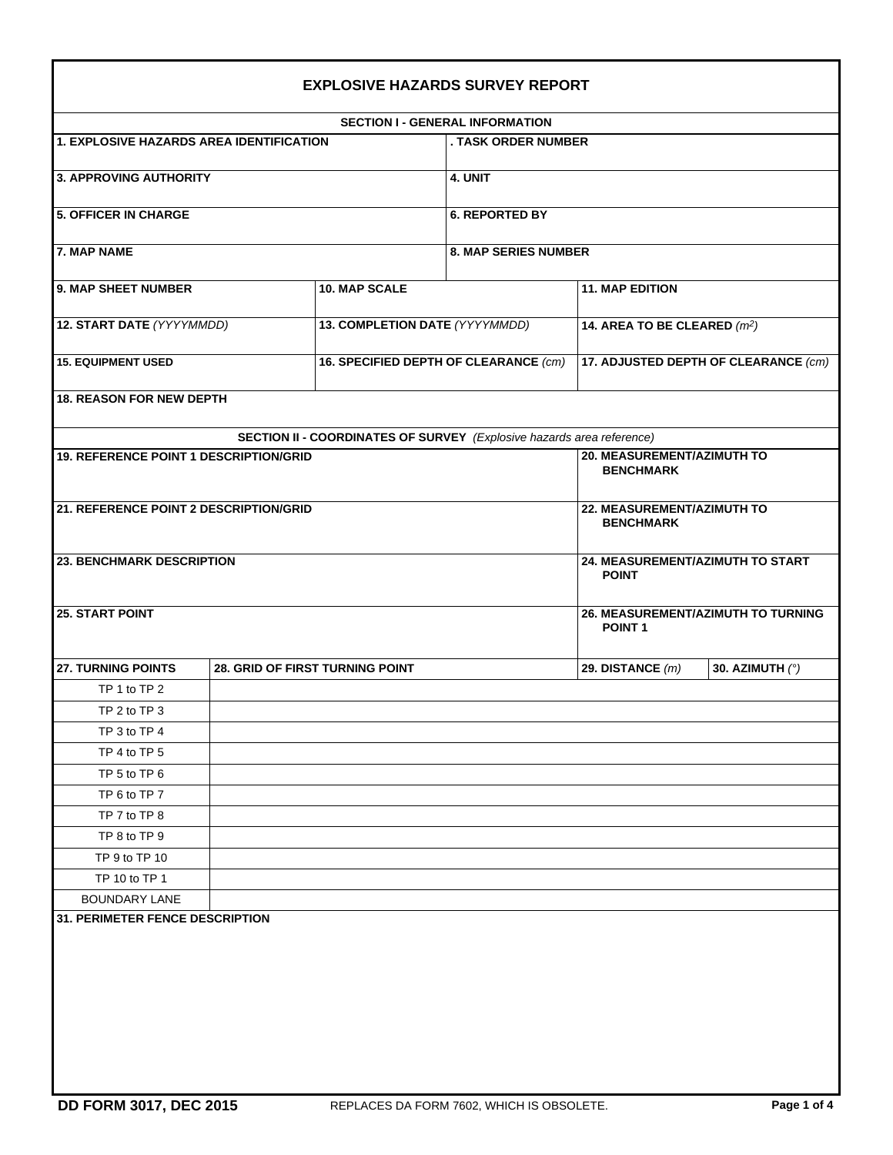|                                          |  |                                                | <b>SECTION I - GENERAL INFORMATION</b>                                       |                                          |                 |  |  |  |
|------------------------------------------|--|------------------------------------------------|------------------------------------------------------------------------------|------------------------------------------|-----------------|--|--|--|
| 1. EXPLOSIVE HAZARDS AREA IDENTIFICATION |  |                                                | . TASK ORDER NUMBER                                                          |                                          |                 |  |  |  |
| 3. APPROVING AUTHORITY                   |  |                                                | 4. UNIT                                                                      |                                          |                 |  |  |  |
| <b>5. OFFICER IN CHARGE</b>              |  |                                                | <b>6. REPORTED BY</b>                                                        |                                          |                 |  |  |  |
| <b>7. MAP NAME</b>                       |  |                                                | <b>8. MAP SERIES NUMBER</b>                                                  |                                          |                 |  |  |  |
| 9. MAP SHEET NUMBER                      |  | <b>10. MAP SCALE</b>                           |                                                                              | <b>11. MAP EDITION</b>                   |                 |  |  |  |
| 12. START DATE (YYYYMMDD)                |  | 13. COMPLETION DATE (YYYYMMDD)                 |                                                                              | 14. AREA TO BE CLEARED (m <sup>2</sup> ) |                 |  |  |  |
| <b>15. EQUIPMENT USED</b>                |  | 16. SPECIFIED DEPTH OF CLEARANCE (cm)          |                                                                              | 17. ADJUSTED DEPTH OF CLEARANCE (cm)     |                 |  |  |  |
| <b>18. REASON FOR NEW DEPTH</b>          |  |                                                |                                                                              |                                          |                 |  |  |  |
|                                          |  |                                                | <b>SECTION II - COORDINATES OF SURVEY</b> (Explosive hazards area reference) |                                          |                 |  |  |  |
| 19. REFERENCE POINT 1 DESCRIPTION/GRID   |  | 20. MEASUREMENT/AZIMUTH TO<br><b>BENCHMARK</b> |                                                                              |                                          |                 |  |  |  |
| 21. REFERENCE POINT 2 DESCRIPTION/GRID   |  | 22. MEASUREMENT/AZIMUTH TO<br><b>BENCHMARK</b> |                                                                              |                                          |                 |  |  |  |
| <b>23. BENCHMARK DESCRIPTION</b>         |  |                                                | 24. MEASUREMENT/AZIMUTH TO START<br><b>POINT</b>                             |                                          |                 |  |  |  |
| <b>25. START POINT</b>                   |  |                                                | 26. MEASUREMENT/AZIMUTH TO TURNING<br><b>POINT1</b>                          |                                          |                 |  |  |  |
| 27. TURNING POINTS                       |  | 28. GRID OF FIRST TURNING POINT                |                                                                              | 29. DISTANCE $(m)$                       | 30. AZIMUTH (°) |  |  |  |
| TP 1 to TP 2                             |  |                                                |                                                                              |                                          |                 |  |  |  |
| TP 2 to TP 3                             |  |                                                |                                                                              |                                          |                 |  |  |  |
| TP 3 to TP 4                             |  |                                                |                                                                              |                                          |                 |  |  |  |
| TP 4 to TP 5                             |  |                                                |                                                                              |                                          |                 |  |  |  |
| TP 5 to TP 6                             |  |                                                |                                                                              |                                          |                 |  |  |  |
| TP 6 to TP 7                             |  |                                                |                                                                              |                                          |                 |  |  |  |
| TP 7 to TP 8                             |  |                                                |                                                                              |                                          |                 |  |  |  |
| TP 8 to TP 9                             |  |                                                |                                                                              |                                          |                 |  |  |  |
| TP 9 to TP 10                            |  |                                                |                                                                              |                                          |                 |  |  |  |
| TP 10 to TP 1                            |  |                                                |                                                                              |                                          |                 |  |  |  |
| BOUNDARY LANE                            |  |                                                |                                                                              |                                          |                 |  |  |  |
| <b>31. PERIMETER FENCE DESCRIPTION</b>   |  |                                                |                                                                              |                                          |                 |  |  |  |
|                                          |  |                                                |                                                                              |                                          |                 |  |  |  |
|                                          |  |                                                |                                                                              |                                          |                 |  |  |  |
|                                          |  |                                                |                                                                              |                                          |                 |  |  |  |
|                                          |  |                                                |                                                                              |                                          |                 |  |  |  |
|                                          |  |                                                |                                                                              |                                          |                 |  |  |  |
|                                          |  |                                                |                                                                              |                                          |                 |  |  |  |
|                                          |  |                                                |                                                                              |                                          |                 |  |  |  |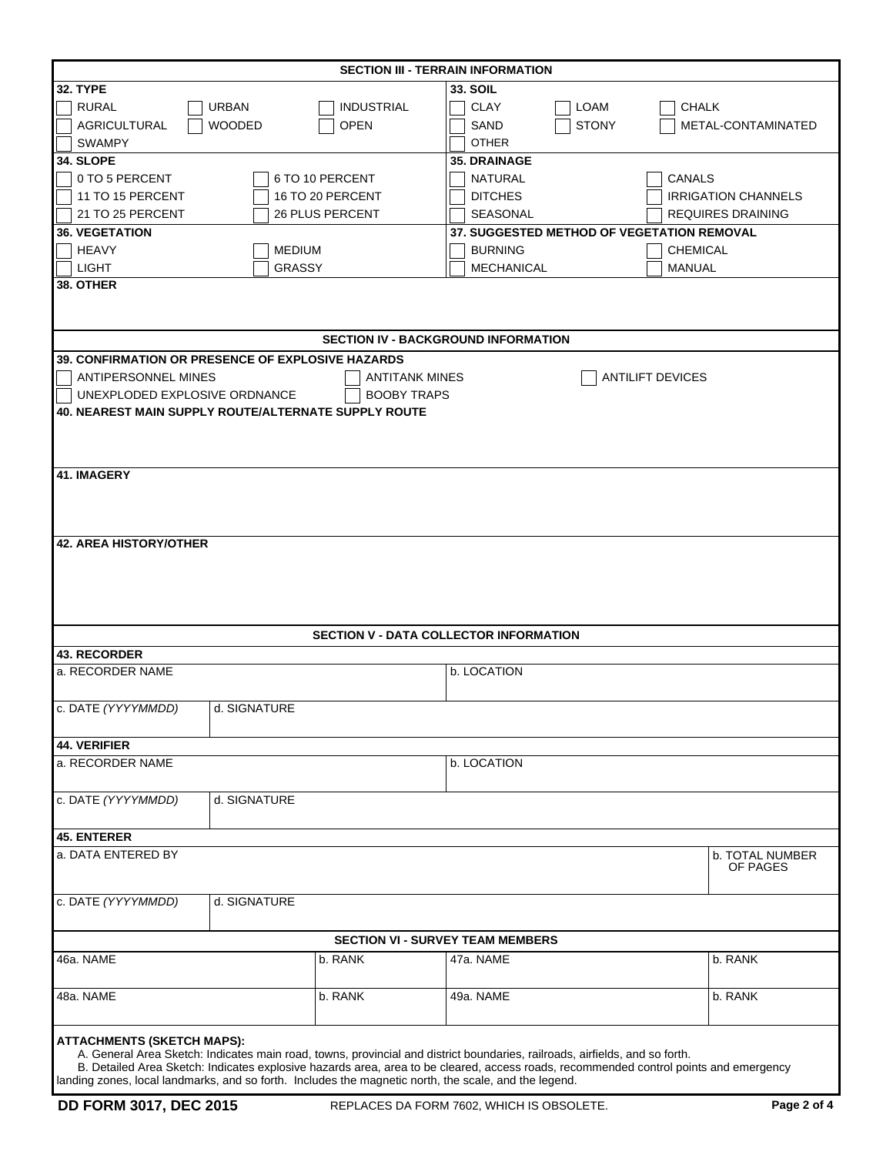| <b>SECTION III - TERRAIN INFORMATION</b>                                                                                              |                              |                                         |                                                   |                            |  |  |  |  |
|---------------------------------------------------------------------------------------------------------------------------------------|------------------------------|-----------------------------------------|---------------------------------------------------|----------------------------|--|--|--|--|
| <b>32. TYPE</b>                                                                                                                       |                              |                                         | <b>33. SOIL</b>                                   |                            |  |  |  |  |
| <b>URBAN</b><br><b>RURAL</b><br><b>INDUSTRIAL</b>                                                                                     |                              |                                         | <b>CLAY</b><br>LOAM                               | <b>CHALK</b>               |  |  |  |  |
| <b>AGRICULTURAL</b>                                                                                                                   | <b>WOODED</b><br><b>OPEN</b> |                                         |                                                   | METAL-CONTAMINATED         |  |  |  |  |
| <b>SWAMPY</b>                                                                                                                         |                              |                                         | <b>STONY</b><br>SAND<br><b>OTHER</b>              |                            |  |  |  |  |
| 34. SLOPE                                                                                                                             |                              |                                         | <b>35. DRAINAGE</b>                               |                            |  |  |  |  |
| 6 TO 10 PERCENT                                                                                                                       |                              |                                         |                                                   |                            |  |  |  |  |
| 0 TO 5 PERCENT                                                                                                                        |                              |                                         | NATURAL                                           | CANALS                     |  |  |  |  |
| 11 TO 15 PERCENT                                                                                                                      | 16 TO 20 PERCENT             |                                         | <b>DITCHES</b>                                    | <b>IRRIGATION CHANNELS</b> |  |  |  |  |
| 21 TO 25 PERCENT                                                                                                                      | <b>26 PLUS PERCENT</b>       |                                         | SEASONAL                                          | <b>REQUIRES DRAINING</b>   |  |  |  |  |
| <b>36. VEGETATION</b>                                                                                                                 |                              |                                         | <b>37. SUGGESTED METHOD OF VEGETATION REMOVAL</b> |                            |  |  |  |  |
| <b>HEAVY</b>                                                                                                                          | <b>MEDIUM</b>                |                                         | <b>BURNING</b>                                    | <b>CHEMICAL</b>            |  |  |  |  |
| LIGHT                                                                                                                                 | <b>GRASSY</b>                |                                         | <b>MECHANICAL</b>                                 | MANUAL                     |  |  |  |  |
| 38. OTHER                                                                                                                             |                              |                                         |                                                   |                            |  |  |  |  |
|                                                                                                                                       |                              |                                         |                                                   |                            |  |  |  |  |
|                                                                                                                                       |                              |                                         |                                                   |                            |  |  |  |  |
| <b>SECTION IV - BACKGROUND INFORMATION</b>                                                                                            |                              |                                         |                                                   |                            |  |  |  |  |
| 39. CONFIRMATION OR PRESENCE OF EXPLOSIVE HAZARDS                                                                                     |                              |                                         |                                                   |                            |  |  |  |  |
| ANTIPERSONNEL MINES                                                                                                                   |                              | <b>ANTITANK MINES</b>                   |                                                   | <b>ANTILIFT DEVICES</b>    |  |  |  |  |
| UNEXPLODED EXPLOSIVE ORDNANCE                                                                                                         |                              | <b>BOOBY TRAPS</b>                      |                                                   |                            |  |  |  |  |
| <b>40. NEAREST MAIN SUPPLY ROUTE/ALTERNATE SUPPLY ROUTE</b>                                                                           |                              |                                         |                                                   |                            |  |  |  |  |
|                                                                                                                                       |                              |                                         |                                                   |                            |  |  |  |  |
|                                                                                                                                       |                              |                                         |                                                   |                            |  |  |  |  |
|                                                                                                                                       |                              |                                         |                                                   |                            |  |  |  |  |
| <b>41. IMAGERY</b>                                                                                                                    |                              |                                         |                                                   |                            |  |  |  |  |
|                                                                                                                                       |                              |                                         |                                                   |                            |  |  |  |  |
|                                                                                                                                       |                              |                                         |                                                   |                            |  |  |  |  |
|                                                                                                                                       |                              |                                         |                                                   |                            |  |  |  |  |
| <b>42. AREA HISTORY/OTHER</b>                                                                                                         |                              |                                         |                                                   |                            |  |  |  |  |
|                                                                                                                                       |                              |                                         |                                                   |                            |  |  |  |  |
|                                                                                                                                       |                              |                                         |                                                   |                            |  |  |  |  |
|                                                                                                                                       |                              |                                         |                                                   |                            |  |  |  |  |
|                                                                                                                                       |                              |                                         |                                                   |                            |  |  |  |  |
|                                                                                                                                       |                              |                                         |                                                   |                            |  |  |  |  |
|                                                                                                                                       |                              |                                         | <b>SECTION V - DATA COLLECTOR INFORMATION</b>     |                            |  |  |  |  |
| <b>43. RECORDER</b>                                                                                                                   |                              |                                         |                                                   |                            |  |  |  |  |
| a. RECORDER NAME                                                                                                                      |                              |                                         | b. LOCATION                                       |                            |  |  |  |  |
|                                                                                                                                       |                              |                                         |                                                   |                            |  |  |  |  |
| c. DATE (YYYYMMDD)                                                                                                                    | d. SIGNATURE                 |                                         |                                                   |                            |  |  |  |  |
|                                                                                                                                       |                              |                                         |                                                   |                            |  |  |  |  |
| <b>44. VERIFIER</b>                                                                                                                   |                              |                                         |                                                   |                            |  |  |  |  |
| a. RECORDER NAME                                                                                                                      |                              |                                         | b. LOCATION                                       |                            |  |  |  |  |
|                                                                                                                                       |                              |                                         |                                                   |                            |  |  |  |  |
|                                                                                                                                       |                              |                                         |                                                   |                            |  |  |  |  |
| c. DATE (YYYYMMDD)                                                                                                                    | d. SIGNATURE                 |                                         |                                                   |                            |  |  |  |  |
|                                                                                                                                       |                              |                                         |                                                   |                            |  |  |  |  |
| <b>45. ENTERER</b>                                                                                                                    |                              |                                         |                                                   |                            |  |  |  |  |
| a. DATA ENTERED BY                                                                                                                    |                              |                                         |                                                   | <b>b. TOTAL NUMBER</b>     |  |  |  |  |
|                                                                                                                                       |                              |                                         |                                                   | OF PAGES                   |  |  |  |  |
|                                                                                                                                       |                              |                                         |                                                   |                            |  |  |  |  |
| c. DATE (YYYYMMDD)                                                                                                                    | d. SIGNATURE                 |                                         |                                                   |                            |  |  |  |  |
|                                                                                                                                       |                              |                                         |                                                   |                            |  |  |  |  |
|                                                                                                                                       |                              | <b>SECTION VI - SURVEY TEAM MEMBERS</b> |                                                   |                            |  |  |  |  |
| 46a. NAME                                                                                                                             |                              | b. RANK                                 | 47a. NAME                                         | b. RANK                    |  |  |  |  |
|                                                                                                                                       |                              |                                         |                                                   |                            |  |  |  |  |
| 48a. NAME                                                                                                                             |                              | b. RANK                                 | 49a. NAME                                         | b. RANK                    |  |  |  |  |
|                                                                                                                                       |                              |                                         |                                                   |                            |  |  |  |  |
|                                                                                                                                       |                              |                                         |                                                   |                            |  |  |  |  |
| <b>ATTACHMENTS (SKETCH MAPS):</b>                                                                                                     |                              |                                         |                                                   |                            |  |  |  |  |
| A. General Area Sketch: Indicates main road, towns, provincial and district boundaries, railroads, airfields, and so forth.           |                              |                                         |                                                   |                            |  |  |  |  |
| B. Detailed Area Sketch: Indicates explosive hazards area, area to be cleared, access roads, recommended control points and emergency |                              |                                         |                                                   |                            |  |  |  |  |
| landing zones, local landmarks, and so forth. Includes the magnetic north, the scale, and the legend.                                 |                              |                                         |                                                   |                            |  |  |  |  |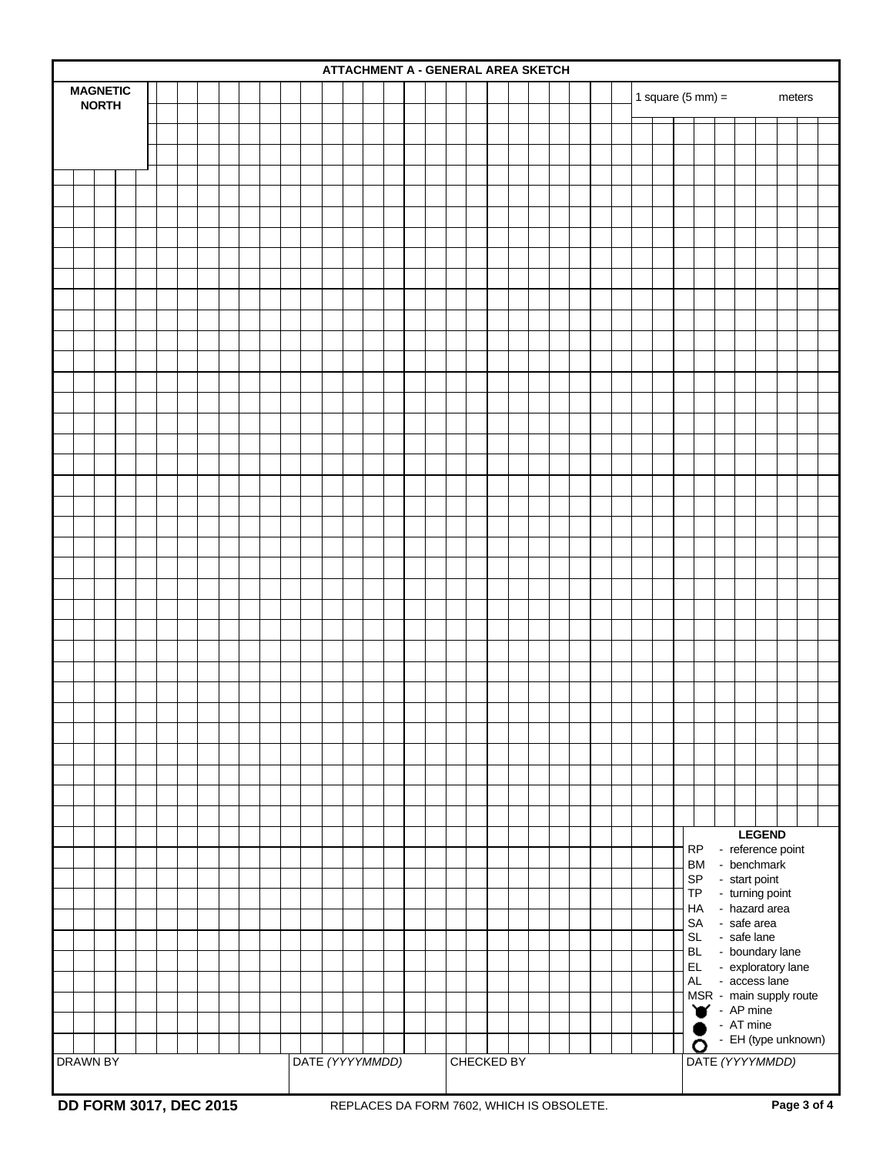